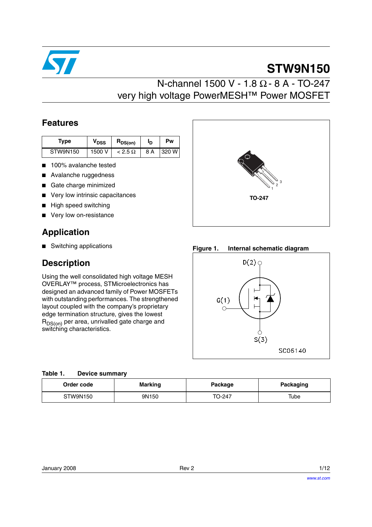

# **STW9N150**

### N-channel 1500 V - 1.8 Ω - 8 A - TO-247 very high voltage PowerMESH™ Power MOSFET

### **Features**

| Type     | V <sub>DSS</sub> | $R_{DS(on)}$   | םי  | Pw    |
|----------|------------------|----------------|-----|-------|
| STW9N150 | 1500 V           | $< 2.5 \Omega$ | 8 A | 320 W |

- 100% avalanche tested
- Avalanche ruggedness
- Gate charge minimized
- Very low intrinsic capacitances
- **High speed switching**
- Very low on-resistance

### **Application**

■ Switching applications

### **Description**

Using the well consolidated high voltage MESH OVERLAY™ process, STMicroelectronics has designed an advanced family of Power MOSFETs with outstanding performances. The strengthened layout coupled with the company's proprietary edge termination structure, gives the lowest  $R_{DS(on)}$  per area, unrivalled gate charge and switching characteristics.



**Figure 1. Internal schematic diagram**



#### **Table 1. Device summary**

| Order code | <b>Marking</b> |        | <b>Packaging</b> |  |
|------------|----------------|--------|------------------|--|
| STW9N150   | 9N150          | TO-247 | Tube             |  |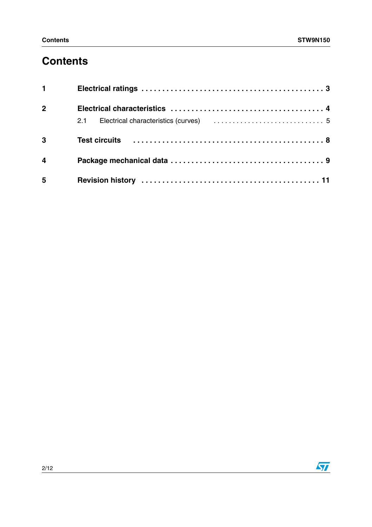## **Contents**

| $1 \quad \Box$          |  |
|-------------------------|--|
| 2 <sup>1</sup>          |  |
|                         |  |
| $\overline{\mathbf{3}}$ |  |
| $\overline{\mathbf{4}}$ |  |
| 5                       |  |

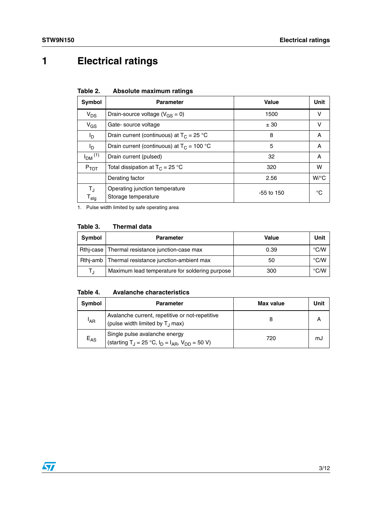## <span id="page-2-0"></span>**1 Electrical ratings**

| Table 2. |  | Absolute maximum ratings |  |
|----------|--|--------------------------|--|
|----------|--|--------------------------|--|

| Symbol                                      | <b>Parameter</b>                                      | Value        | Unit               |
|---------------------------------------------|-------------------------------------------------------|--------------|--------------------|
| $V_{DS}$                                    | Drain-source voltage ( $V_{GS} = 0$ )                 | 1500         | v                  |
| $V_{GS}$                                    | Gate-source voltage                                   | ± 30         | v                  |
| l <sub>D</sub>                              | Drain current (continuous) at $T_c = 25 °C$           | 8            | A                  |
| l <sub>D</sub>                              | Drain current (continuous) at $T_C = 100 °C$          | 5            | A                  |
| $I_{DM}$ <sup>(1)</sup>                     | Drain current (pulsed)                                | 32           | A                  |
| $P_{TOT}$                                   | Total dissipation at $T_C = 25 °C$                    | 320          | w                  |
|                                             | Derating factor                                       | 2.56         | $W$ <sup>o</sup> C |
| $T_{\rm J}$<br>${\mathsf T}_{\textsf{stg}}$ | Operating junction temperature<br>Storage temperature | $-55$ to 150 | °€                 |

1. Pulse width limited by safe operating area

#### **Table 3. Thermal data**

| Symbol                  | <b>Parameter</b>                                   | Value | Unit          |
|-------------------------|----------------------------------------------------|-------|---------------|
|                         | Rthj-case   Thermal resistance junction-case max   | 0.39  | °C/W          |
|                         | Rthj-amb   Thermal resistance junction-ambient max | 50    | $\degree$ C/W |
| $\mathsf{T}_{\text{d}}$ | Maximum lead temperature for soldering purpose     | 300   | $\degree$ C/W |

#### **Table 4. Avalanche characteristics**

| Symbol          | <b>Parameter</b>                                                                                      | Max value | Unit |
|-----------------|-------------------------------------------------------------------------------------------------------|-----------|------|
| <sup>I</sup> AR | Avalanche current, repetitive or not-repetitive<br>(pulse width limited by $T_{\perp}$ max)           |           |      |
| $E_{AS}$        | Single pulse avalanche energy<br>(starting T <sub>J</sub> = 25 °C, $I_D = I_{AR}$ , $V_{DD} = 50 V$ ) | 720       | mJ   |

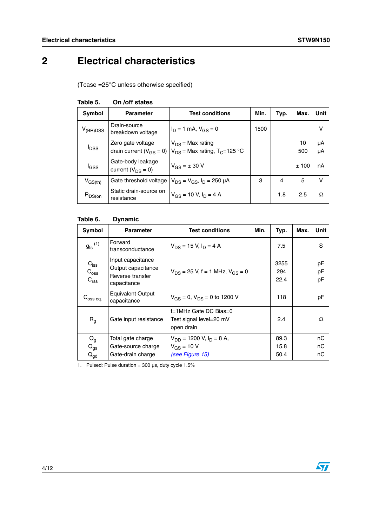## <span id="page-3-0"></span>**2 Electrical characteristics**

(Tcase =25°C unless otherwise specified)

| Symbol                  | <b>Test conditions</b><br><b>Parameter</b>          |                                                                        | Min. | Typ.           | Max.      | <b>Unit</b> |
|-------------------------|-----------------------------------------------------|------------------------------------------------------------------------|------|----------------|-----------|-------------|
| $V_{(BR)DSS}$           | Drain-source<br>breakdown voltage                   | $I_D = 1$ mA, $V_{GS} = 0$                                             | 1500 |                |           | $\vee$      |
| <b>I</b> <sub>DSS</sub> | Zero gate voltage<br>drain current ( $V_{GS} = 0$ ) | $V_{DS}$ = Max rating<br>$V_{DS}$ = Max rating, T <sub>C</sub> =125 °C |      |                | 10<br>500 | μA<br>μA    |
| l <sub>GSS</sub>        | Gate-body leakage<br>current ( $V_{DS} = 0$ )       | $V_{GS} = \pm 30 V$                                                    |      |                | ±100      | nA          |
| $V_{GS(th)}$            | Gate threshold voltage                              | $V_{DS} = V_{GS}$ , $I_D = 250 \mu A$                                  | 3    | $\overline{4}$ | 5         | $\vee$      |
| $R_{DS(on)}$            | Static drain-source on<br>resistance                | $V_{GS}$ = 10 V, $I_D$ = 4 A                                           |      | 1.8            | 2.5       | Ω           |

#### **Table 5. On /off states**

### **Table 6. Dynamic**

| Symbol                                         | <b>Parameter</b><br><b>Test conditions</b>                                 |                                                                       | Min. | Typ.                 | Max. | Unit           |
|------------------------------------------------|----------------------------------------------------------------------------|-----------------------------------------------------------------------|------|----------------------|------|----------------|
| $g_{\mathsf{fs}}^{\mathrm{(1)}}$               | Forward<br>transconductance                                                | $V_{DS}$ = 15 V, $I_D$ = 4 A                                          |      | 7.5                  |      | S              |
| $C_{iss}$<br>$C_{\rm oss}$<br>C <sub>rss</sub> | Input capacitance<br>Output capacitance<br>Reverse transfer<br>capacitance | $V_{DS}$ = 25 V, f = 1 MHz, $V_{GS}$ = 0                              |      | 3255<br>294<br>22.4  |      | рF<br>рF<br>рF |
| $C_{\rm oss\,eq.}$                             | <b>Equivalent Output</b><br>capacitance                                    | $V_{GS} = 0$ , $V_{DS} = 0$ to 1200 V                                 |      | 118                  |      | рF             |
| R <sub>q</sub>                                 | Gate input resistance                                                      | f=1MHz Gate DC Bias=0<br>Test signal level=20 mV<br>open drain        |      | 2.4                  |      | Ω              |
| $Q_g$<br>$Q_{gs}$<br>$Q_{\text{gd}}$           | Total gate charge<br>Gate-source charge<br>Gate-drain charge               | $V_{DD}$ = 1200 V, $I_D$ = 8 A,<br>$V_{GS}$ = 10 V<br>(see Figure 15) |      | 89.3<br>15.8<br>50.4 |      | пC<br>nС<br>nС |

1. Pulsed: Pulse duration =  $300 \,\mu s$ , duty cycle  $1.5\%$ 

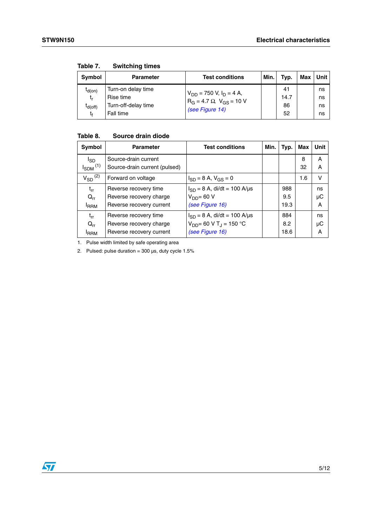| Symbol                                  | <b>Parameter</b>                                                    | <b>Test conditions</b>                                                                                       | Min. | Typ.                   | Max | Unit l               |
|-----------------------------------------|---------------------------------------------------------------------|--------------------------------------------------------------------------------------------------------------|------|------------------------|-----|----------------------|
| $I_{d(on)}$<br>t,<br>$I_{d(off)}$<br>tŧ | Turn-on delay time<br>Rise time<br>Turn-off-delay time<br>Fall time | $V_{DD}$ = 750 V, I <sub>D</sub> = 4 A,<br>R <sub>G</sub> = 4.7 Ω, V <sub>GS</sub> = 10 V<br>(see Figure 14) |      | 41<br>14.7<br>86<br>52 |     | ns<br>ns<br>ns<br>ns |

**Table 7. Switching times**

### **Table 8. Source drain diode**

| Symbol                                      | <b>Parameter</b>                                      | <b>Test conditions</b>           | Min. | Typ. | Max     | Unit   |
|---------------------------------------------|-------------------------------------------------------|----------------------------------|------|------|---------|--------|
| <sup>I</sup> SD<br>$I_{SDM}$ <sup>(1)</sup> | Source-drain current<br>Source-drain current (pulsed) |                                  |      |      | 8<br>32 | Α<br>A |
| $V_{SD}$ <sup>(2)</sup>                     | Forward on voltage                                    | $I_{SD} = 8$ A, $V_{GS} = 0$     |      |      | 1.6     | v      |
| $t_{rr}$                                    | Reverse recovery time                                 | $I_{SD} = 8$ A, di/dt = 100 A/µs |      | 988  |         | ns     |
| $Q_{rr}$                                    | Reverse recovery charge                               | $V_{DD}$ = 60 V                  |      | 9.5  |         | μC     |
| <b>IRRM</b>                                 | Reverse recovery current                              | (see Figure 16)                  |      | 19.3 |         | A      |
| $t_{rr}$                                    | Reverse recovery time                                 | $I_{SD} = 8$ A, di/dt = 100 A/µs |      | 884  |         | ns     |
| $Q_{rr}$                                    | Reverse recovery charge                               | $V_{DD} = 60 V T_J = 150 °C$     |      | 8.2  |         | μC     |
| <b>IRRM</b>                                 | Reverse recovery current                              | (see Figure 16)                  |      | 18.6 |         | A      |

1. Pulse width limited by safe operating area

2. Pulsed: pulse duration =  $300 \,\mu s$ , duty cycle  $1.5\%$ 

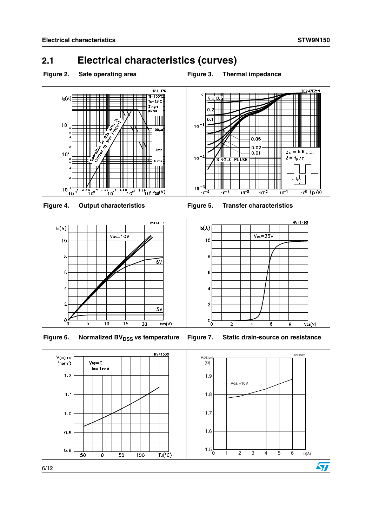### <span id="page-5-0"></span>**2.1 Electrical characteristics (curves)**









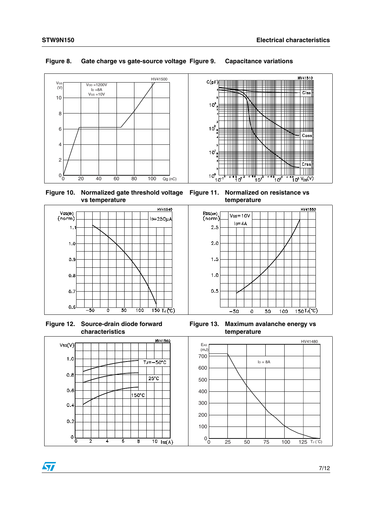

#### **Figure 8. Gate charge vs gate-source voltage Figure 9. Capacitance variations**





**Figure 12. Source-drain diode forward characteristics**



 $\sqrt{2}$ 



**Figure 11. Normalized on resistance vs temperature**



**Figure 13. Maximum avalanche energy vs temperature**

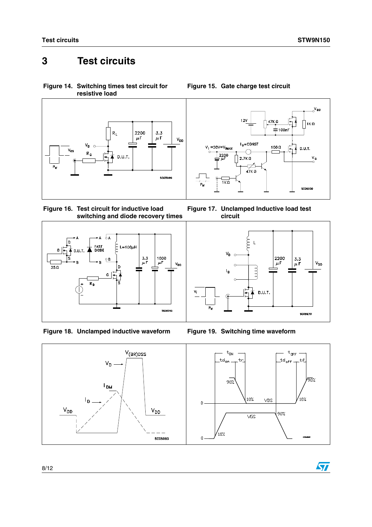$\sqrt{2}$ 

## <span id="page-7-0"></span>**3 Test circuits**

<span id="page-7-3"></span>**Figure 14. Switching times test circuit for resistive load**



<span id="page-7-2"></span>







<span id="page-7-1"></span>**Figure 15. Gate charge test circuit**

**Figure 17. Unclamped Inductive load test circuit**



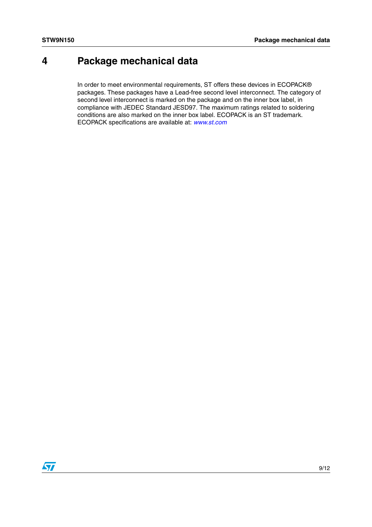### <span id="page-8-0"></span>**4 Package mechanical data**

In order to meet environmental requirements, ST offers these devices in ECOPACK® packages. These packages have a Lead-free second level interconnect. The category of second level interconnect is marked on the package and on the inner box label, in compliance with JEDEC Standard JESD97. The maximum ratings related to soldering conditions are also marked on the inner box label. ECOPACK is an ST trademark. ECOPACK specifications are available at: *[www.st.com](http://www.st.com)*

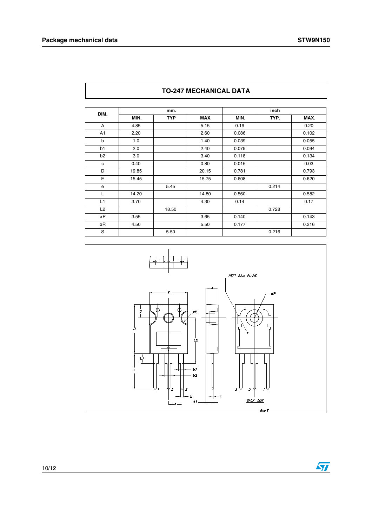|                | mm.   |            |       | inch  |       |       |
|----------------|-------|------------|-------|-------|-------|-------|
| DIM.           | MIN.  | <b>TYP</b> | MAX.  | MIN.  | TYP.  | MAX.  |
| A              | 4.85  |            | 5.15  | 0.19  |       | 0.20  |
| A1             | 2.20  |            | 2.60  | 0.086 |       | 0.102 |
| b              | 1.0   |            | 1.40  | 0.039 |       | 0.055 |
| b1             | 2.0   |            | 2.40  | 0.079 |       | 0.094 |
| b <sub>2</sub> | 3.0   |            | 3.40  | 0.118 |       | 0.134 |
| c              | 0.40  |            | 0.80  | 0.015 |       | 0.03  |
| D              | 19.85 |            | 20.15 | 0.781 |       | 0.793 |
| E              | 15.45 |            | 15.75 | 0.608 |       | 0.620 |
| e              |       | 5.45       |       |       | 0.214 |       |
| L              | 14.20 |            | 14.80 | 0.560 |       | 0.582 |
| L1             | 3.70  |            | 4.30  | 0.14  |       | 0.17  |
| L2             |       | 18.50      |       |       | 0.728 |       |
| øΡ             | 3.55  |            | 3.65  | 0.140 |       | 0.143 |
| øR             | 4.50  |            | 5.50  | 0.177 |       | 0.216 |
| S              |       | 5.50       |       |       | 0.216 |       |





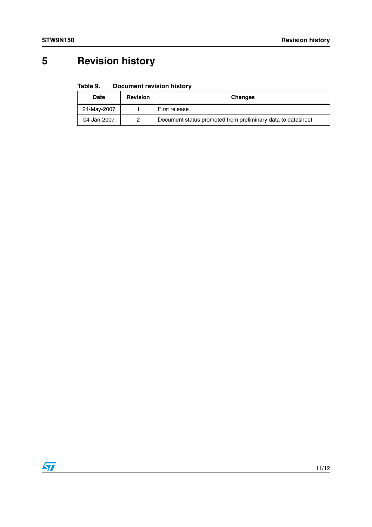# <span id="page-10-0"></span>**5 Revision history**

#### Table 9. **Document revision history**

| <b>Date</b> | <b>Revision</b> | <b>Changes</b>                                              |
|-------------|-----------------|-------------------------------------------------------------|
| 24-May-2007 |                 | First release                                               |
| 04-Jan-2007 | 2               | Document status promoted from preliminary data to datasheet |